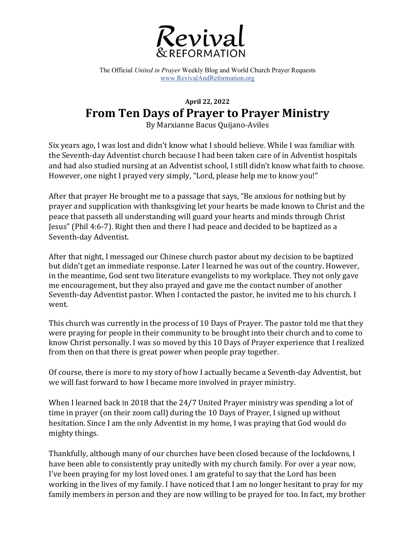

The Official *United in Prayer* Weekly Blog and World Church Prayer Requests www.RevivalAndReformation.org

## **April 22, 2022 From Ten Days of Prayer to Prayer Ministry**

By Marxianne Bacus Quijano-Aviles

Six years ago, I was lost and didn't know what I should believe. While I was familiar with the Seventh-day Adventist church because I had been taken care of in Adventist hospitals and had also studied nursing at an Adventist school, I still didn't know what faith to choose. However, one night I prayed very simply, "Lord, please help me to know you!"

After that prayer He brought me to a passage that says, "Be anxious for nothing but by prayer and supplication with thanksgiving let your hearts be made known to Christ and the peace that passeth all understanding will guard your hearts and minds through Christ Jesus" (Phil 4:6-7). Right then and there I had peace and decided to be baptized as a Seventh-day Adventist.

After that night, I messaged our Chinese church pastor about my decision to be baptized but didn't get an immediate response. Later I learned he was out of the country. However, in the meantime, God sent two literature evangelists to my workplace. They not only gave me encouragement, but they also prayed and gave me the contact number of another Seventh-day Adventist pastor. When I contacted the pastor, he invited me to his church. I went.

This church was currently in the process of 10 Days of Prayer. The pastor told me that they were praying for people in their community to be brought into their church and to come to know Christ personally. I was so moved by this 10 Days of Prayer experience that I realized from then on that there is great power when people pray together.

Of course, there is more to my story of how I actually became a Seventh-day Adventist, but we will fast forward to how I became more involved in prayer ministry.

When I learned back in 2018 that the  $24/7$  United Prayer ministry was spending a lot of time in prayer (on their zoom call) during the 10 Days of Prayer, I signed up without hesitation. Since I am the only Adventist in my home, I was praying that God would do mighty things.

Thankfully, although many of our churches have been closed because of the lockdowns, I have been able to consistently pray unitedly with my church family. For over a year now, I've been praying for my lost loved ones. I am grateful to say that the Lord has been working in the lives of my family. I have noticed that I am no longer hesitant to pray for my family members in person and they are now willing to be prayed for too. In fact, my brother